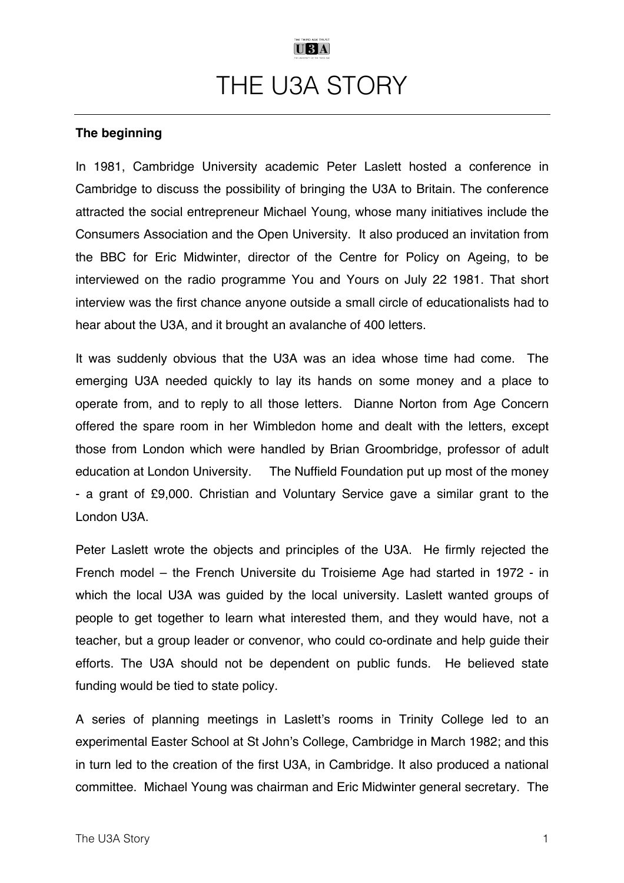# $U3A$ THE U3A STORY

### **The beginning**

In 1981, Cambridge University academic Peter Laslett hosted a conference in Cambridge to discuss the possibility of bringing the U3A to Britain. The conference attracted the social entrepreneur Michael Young, whose many initiatives include the Consumers Association and the Open University. It also produced an invitation from the BBC for Eric Midwinter, director of the Centre for Policy on Ageing, to be interviewed on the radio programme You and Yours on July 22 1981. That short interview was the first chance anyone outside a small circle of educationalists had to hear about the U3A, and it brought an avalanche of 400 letters.

It was suddenly obvious that the U3A was an idea whose time had come. The emerging U3A needed quickly to lay its hands on some money and a place to operate from, and to reply to all those letters. Dianne Norton from Age Concern offered the spare room in her Wimbledon home and dealt with the letters, except those from London which were handled by Brian Groombridge, professor of adult education at London University. The Nuffield Foundation put up most of the money - a grant of £9,000. Christian and Voluntary Service gave a similar grant to the London U3A.

Peter Laslett wrote the objects and principles of the U3A. He firmly rejected the French model – the French Universite du Troisieme Age had started in 1972 - in which the local U3A was guided by the local university. Laslett wanted groups of people to get together to learn what interested them, and they would have, not a teacher, but a group leader or convenor, who could co-ordinate and help guide their efforts. The U3A should not be dependent on public funds. He believed state funding would be tied to state policy.

A series of planning meetings in Laslett's rooms in Trinity College led to an experimental Easter School at St John's College, Cambridge in March 1982; and this in turn led to the creation of the first U3A, in Cambridge. It also produced a national committee. Michael Young was chairman and Eric Midwinter general secretary. The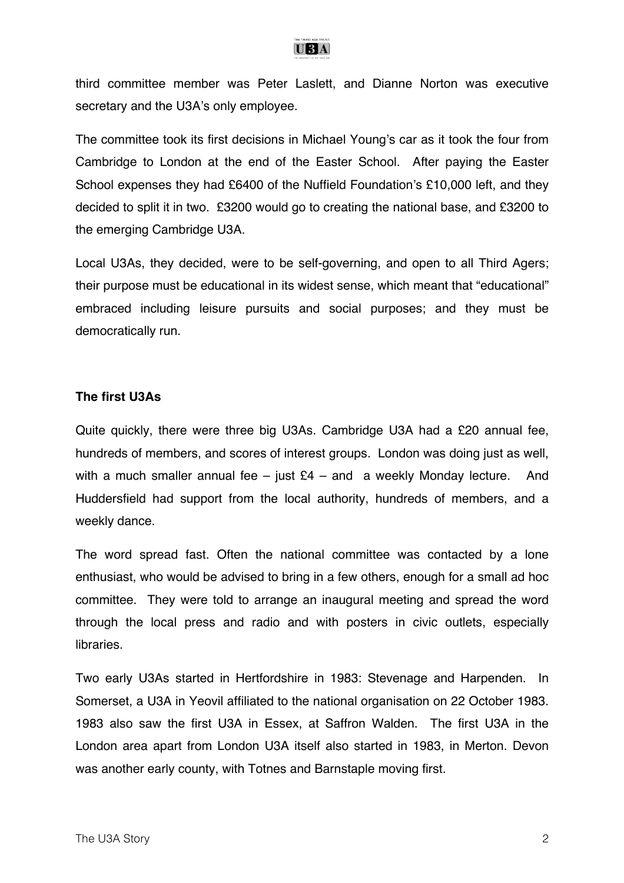

third committee member was Peter Laslett, and Dianne Norton was executive secretary and the U3A's only employee.

The committee took its first decisions in Michael Young's car as it took the four from Cambridge to London at the end of the Easter School. After paying the Easter School expenses they had £6400 of the Nuffield Foundation's £10,000 left, and they decided to split it in two. £3200 would go to creating the national base, and £3200 to the emerging Cambridge U3A.

Local U3As, they decided, were to be self-governing, and open to all Third Agers; their purpose must be educational in its widest sense, which meant that "educational" embraced including leisure pursuits and social purposes; and they must be democratically run.

#### **The first U3As**

Quite quickly, there were three big U3As. Cambridge U3A had a £20 annual fee, hundreds of members, and scores of interest groups. London was doing just as well, with a much smaller annual fee – just  $E4$  – and a weekly Monday lecture. And Huddersfield had support from the local authority, hundreds of members, and a weekly dance.

The word spread fast. Often the national committee was contacted by a lone enthusiast, who would be advised to bring in a few others, enough for a small ad hoc committee. They were told to arrange an inaugural meeting and spread the word through the local press and radio and with posters in civic outlets, especially libraries.

Two early U3As started in Hertfordshire in 1983: Stevenage and Harpenden. In Somerset, a U3A in Yeovil affiliated to the national organisation on 22 October 1983. 1983 also saw the first U3A in Essex, at Saffron Walden. The first U3A in the London area apart from London U3A itself also started in 1983, in Merton. Devon was another early county, with Totnes and Barnstaple moving first.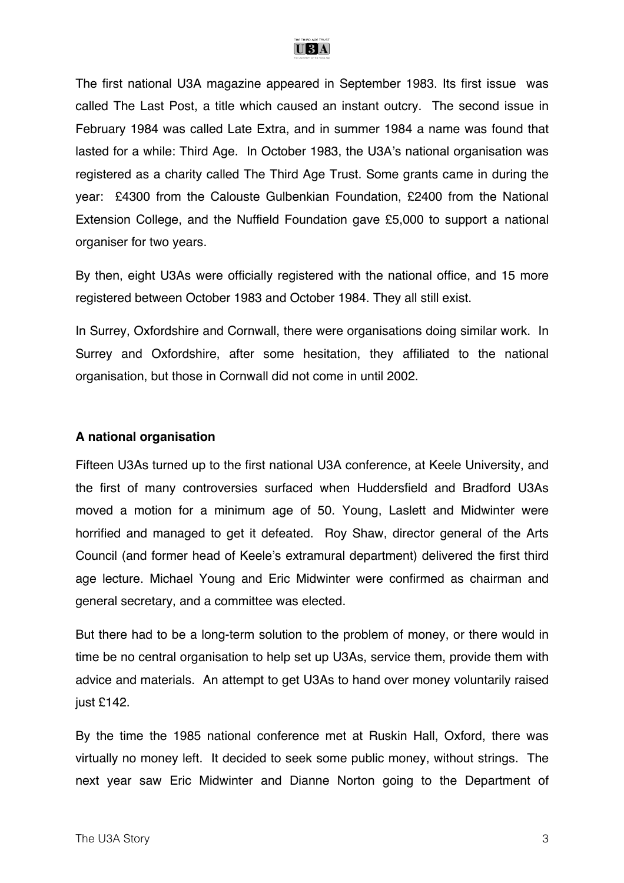

The first national U3A magazine appeared in September 1983. Its first issue was called The Last Post, a title which caused an instant outcry. The second issue in February 1984 was called Late Extra, and in summer 1984 a name was found that lasted for a while: Third Age. In October 1983, the U3A's national organisation was registered as a charity called The Third Age Trust. Some grants came in during the year: £4300 from the Calouste Gulbenkian Foundation, £2400 from the National Extension College, and the Nuffield Foundation gave £5,000 to support a national organiser for two years.

By then, eight U3As were officially registered with the national office, and 15 more registered between October 1983 and October 1984. They all still exist.

In Surrey, Oxfordshire and Cornwall, there were organisations doing similar work. In Surrey and Oxfordshire, after some hesitation, they affiliated to the national organisation, but those in Cornwall did not come in until 2002.

#### **A national organisation**

Fifteen U3As turned up to the first national U3A conference, at Keele University, and the first of many controversies surfaced when Huddersfield and Bradford U3As moved a motion for a minimum age of 50. Young, Laslett and Midwinter were horrified and managed to get it defeated. Roy Shaw, director general of the Arts Council (and former head of Keele's extramural department) delivered the first third age lecture. Michael Young and Eric Midwinter were confirmed as chairman and general secretary, and a committee was elected.

But there had to be a long-term solution to the problem of money, or there would in time be no central organisation to help set up U3As, service them, provide them with advice and materials. An attempt to get U3As to hand over money voluntarily raised just £142.

By the time the 1985 national conference met at Ruskin Hall, Oxford, there was virtually no money left. It decided to seek some public money, without strings. The next year saw Eric Midwinter and Dianne Norton going to the Department of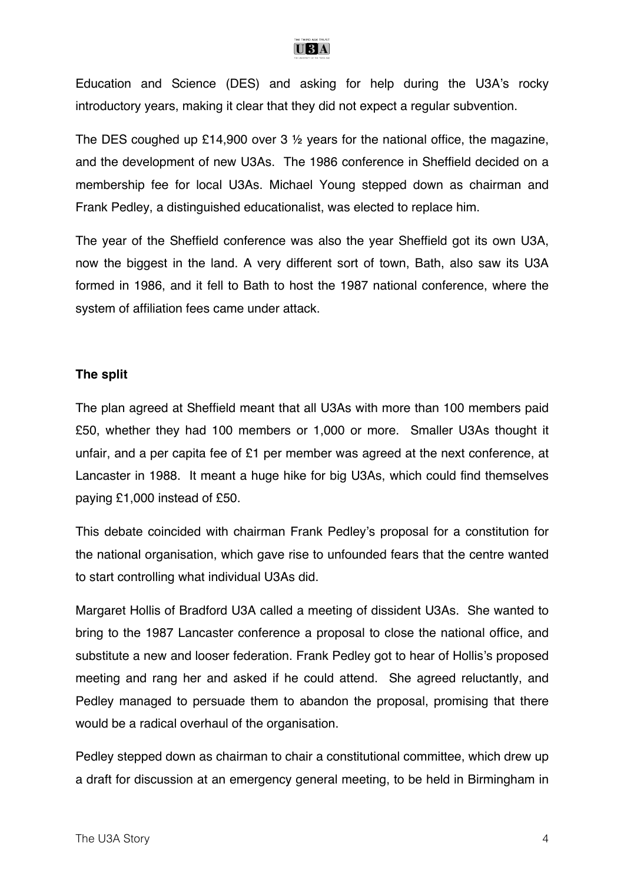

Education and Science (DES) and asking for help during the U3A's rocky introductory years, making it clear that they did not expect a regular subvention.

The DES coughed up £14,900 over 3 ½ years for the national office, the magazine, and the development of new U3As. The 1986 conference in Sheffield decided on a membership fee for local U3As. Michael Young stepped down as chairman and Frank Pedley, a distinguished educationalist, was elected to replace him.

The year of the Sheffield conference was also the year Sheffield got its own U3A, now the biggest in the land. A very different sort of town, Bath, also saw its U3A formed in 1986, and it fell to Bath to host the 1987 national conference, where the system of affiliation fees came under attack.

#### **The split**

The plan agreed at Sheffield meant that all U3As with more than 100 members paid £50, whether they had 100 members or 1,000 or more. Smaller U3As thought it unfair, and a per capita fee of £1 per member was agreed at the next conference, at Lancaster in 1988. It meant a huge hike for big U3As, which could find themselves paying £1,000 instead of £50.

This debate coincided with chairman Frank Pedley's proposal for a constitution for the national organisation, which gave rise to unfounded fears that the centre wanted to start controlling what individual U3As did.

Margaret Hollis of Bradford U3A called a meeting of dissident U3As. She wanted to bring to the 1987 Lancaster conference a proposal to close the national office, and substitute a new and looser federation. Frank Pedley got to hear of Hollis's proposed meeting and rang her and asked if he could attend. She agreed reluctantly, and Pedley managed to persuade them to abandon the proposal, promising that there would be a radical overhaul of the organisation.

Pedley stepped down as chairman to chair a constitutional committee, which drew up a draft for discussion at an emergency general meeting, to be held in Birmingham in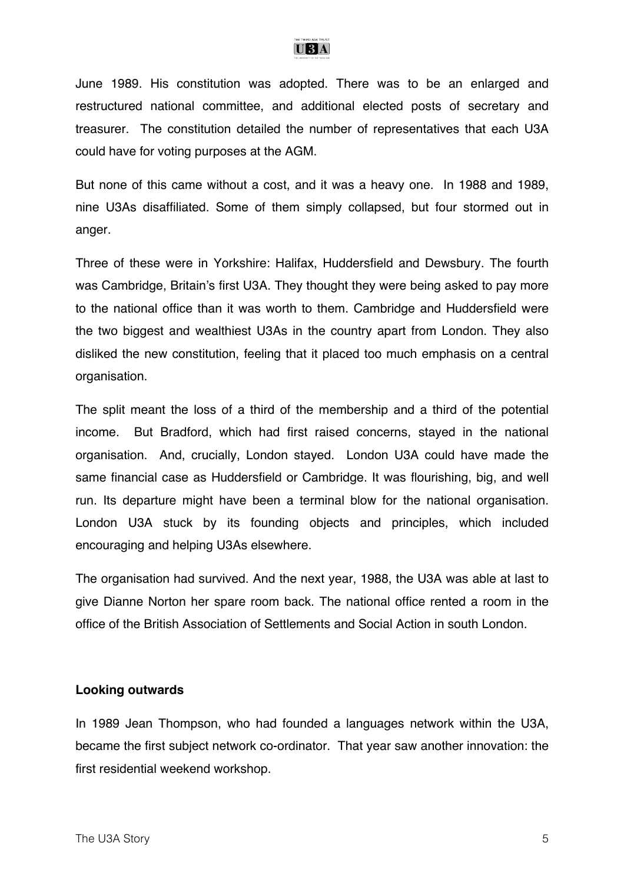

June 1989. His constitution was adopted. There was to be an enlarged and restructured national committee, and additional elected posts of secretary and treasurer. The constitution detailed the number of representatives that each U3A could have for voting purposes at the AGM.

But none of this came without a cost, and it was a heavy one. In 1988 and 1989, nine U3As disaffiliated. Some of them simply collapsed, but four stormed out in anger.

Three of these were in Yorkshire: Halifax, Huddersfield and Dewsbury. The fourth was Cambridge, Britain's first U3A. They thought they were being asked to pay more to the national office than it was worth to them. Cambridge and Huddersfield were the two biggest and wealthiest U3As in the country apart from London. They also disliked the new constitution, feeling that it placed too much emphasis on a central organisation.

The split meant the loss of a third of the membership and a third of the potential income. But Bradford, which had first raised concerns, stayed in the national organisation. And, crucially, London stayed. London U3A could have made the same financial case as Huddersfield or Cambridge. It was flourishing, big, and well run. Its departure might have been a terminal blow for the national organisation. London U3A stuck by its founding objects and principles, which included encouraging and helping U3As elsewhere.

The organisation had survived. And the next year, 1988, the U3A was able at last to give Dianne Norton her spare room back. The national office rented a room in the office of the British Association of Settlements and Social Action in south London.

#### **Looking outwards**

In 1989 Jean Thompson, who had founded a languages network within the U3A, became the first subject network co-ordinator. That year saw another innovation: the first residential weekend workshop.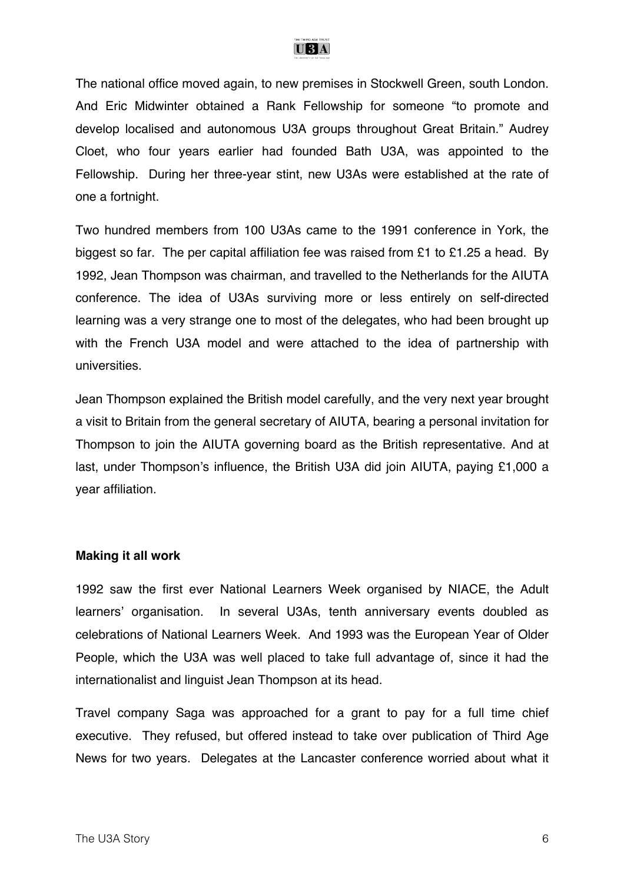

The national office moved again, to new premises in Stockwell Green, south London. And Eric Midwinter obtained a Rank Fellowship for someone "to promote and develop localised and autonomous U3A groups throughout Great Britain." Audrey Cloet, who four years earlier had founded Bath U3A, was appointed to the Fellowship. During her three-year stint, new U3As were established at the rate of one a fortnight.

Two hundred members from 100 U3As came to the 1991 conference in York, the biggest so far. The per capital affiliation fee was raised from £1 to £1.25 a head. By 1992, Jean Thompson was chairman, and travelled to the Netherlands for the AIUTA conference. The idea of U3As surviving more or less entirely on self-directed learning was a very strange one to most of the delegates, who had been brought up with the French U3A model and were attached to the idea of partnership with universities.

Jean Thompson explained the British model carefully, and the very next year brought a visit to Britain from the general secretary of AIUTA, bearing a personal invitation for Thompson to join the AIUTA governing board as the British representative. And at last, under Thompson's influence, the British U3A did join AIUTA, paying £1,000 a year affiliation.

#### **Making it all work**

1992 saw the first ever National Learners Week organised by NIACE, the Adult learners' organisation. In several U3As, tenth anniversary events doubled as celebrations of National Learners Week. And 1993 was the European Year of Older People, which the U3A was well placed to take full advantage of, since it had the internationalist and linguist Jean Thompson at its head.

Travel company Saga was approached for a grant to pay for a full time chief executive. They refused, but offered instead to take over publication of Third Age News for two years. Delegates at the Lancaster conference worried about what it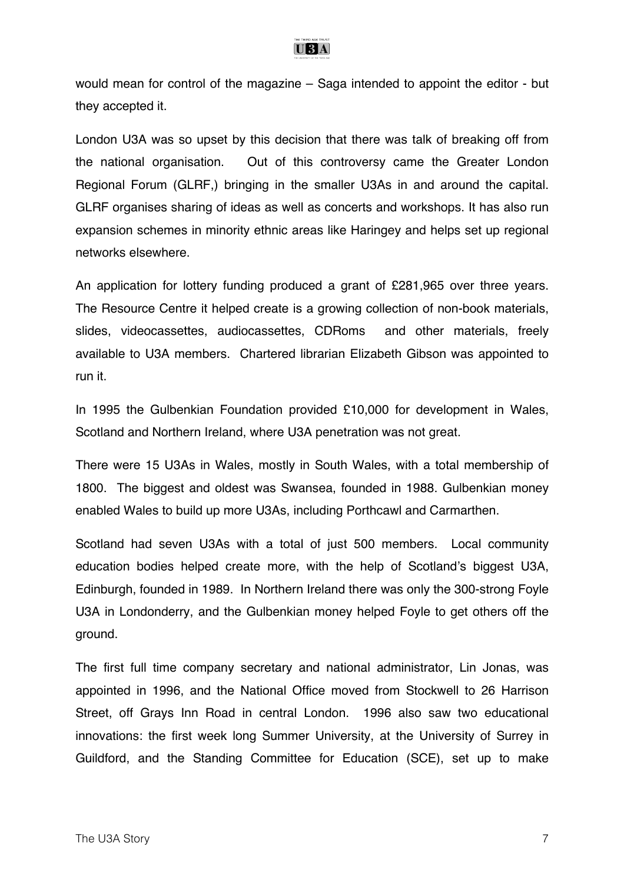

would mean for control of the magazine – Saga intended to appoint the editor - but they accepted it.

London U3A was so upset by this decision that there was talk of breaking off from the national organisation. Out of this controversy came the Greater London Regional Forum (GLRF,) bringing in the smaller U3As in and around the capital. GLRF organises sharing of ideas as well as concerts and workshops. It has also run expansion schemes in minority ethnic areas like Haringey and helps set up regional networks elsewhere.

An application for lottery funding produced a grant of £281,965 over three years. The Resource Centre it helped create is a growing collection of non-book materials, slides, videocassettes, audiocassettes, CDRoms and other materials, freely available to U3A members. Chartered librarian Elizabeth Gibson was appointed to run it.

In 1995 the Gulbenkian Foundation provided £10,000 for development in Wales, Scotland and Northern Ireland, where U3A penetration was not great.

There were 15 U3As in Wales, mostly in South Wales, with a total membership of 1800. The biggest and oldest was Swansea, founded in 1988. Gulbenkian money enabled Wales to build up more U3As, including Porthcawl and Carmarthen.

Scotland had seven U3As with a total of just 500 members. Local community education bodies helped create more, with the help of Scotland's biggest U3A, Edinburgh, founded in 1989. In Northern Ireland there was only the 300-strong Foyle U3A in Londonderry, and the Gulbenkian money helped Foyle to get others off the ground.

The first full time company secretary and national administrator, Lin Jonas, was appointed in 1996, and the National Office moved from Stockwell to 26 Harrison Street, off Grays Inn Road in central London. 1996 also saw two educational innovations: the first week long Summer University, at the University of Surrey in Guildford, and the Standing Committee for Education (SCE), set up to make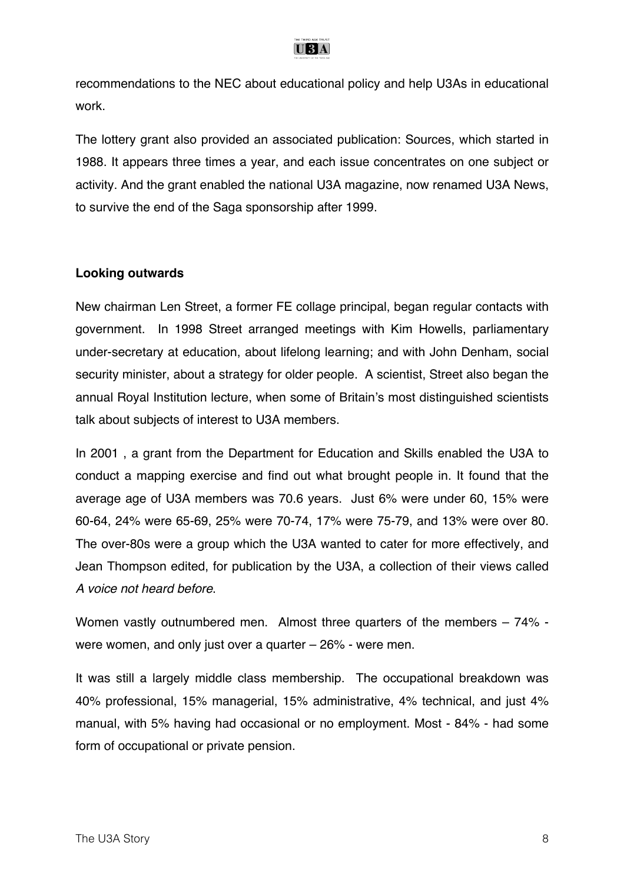

recommendations to the NEC about educational policy and help U3As in educational work.

The lottery grant also provided an associated publication: Sources, which started in 1988. It appears three times a year, and each issue concentrates on one subject or activity. And the grant enabled the national U3A magazine, now renamed U3A News, to survive the end of the Saga sponsorship after 1999.

#### **Looking outwards**

New chairman Len Street, a former FE collage principal, began regular contacts with government. In 1998 Street arranged meetings with Kim Howells, parliamentary under-secretary at education, about lifelong learning; and with John Denham, social security minister, about a strategy for older people. A scientist, Street also began the annual Royal Institution lecture, when some of Britain's most distinguished scientists talk about subjects of interest to U3A members.

In 2001 , a grant from the Department for Education and Skills enabled the U3A to conduct a mapping exercise and find out what brought people in. It found that the average age of U3A members was 70.6 years. Just 6% were under 60, 15% were 60-64, 24% were 65-69, 25% were 70-74, 17% were 75-79, and 13% were over 80. The over-80s were a group which the U3A wanted to cater for more effectively, and Jean Thompson edited, for publication by the U3A, a collection of their views called *A voice not heard before*.

Women vastly outnumbered men. Almost three quarters of the members – 74% were women, and only just over a quarter – 26% - were men.

It was still a largely middle class membership. The occupational breakdown was 40% professional, 15% managerial, 15% administrative, 4% technical, and just 4% manual, with 5% having had occasional or no employment. Most - 84% - had some form of occupational or private pension.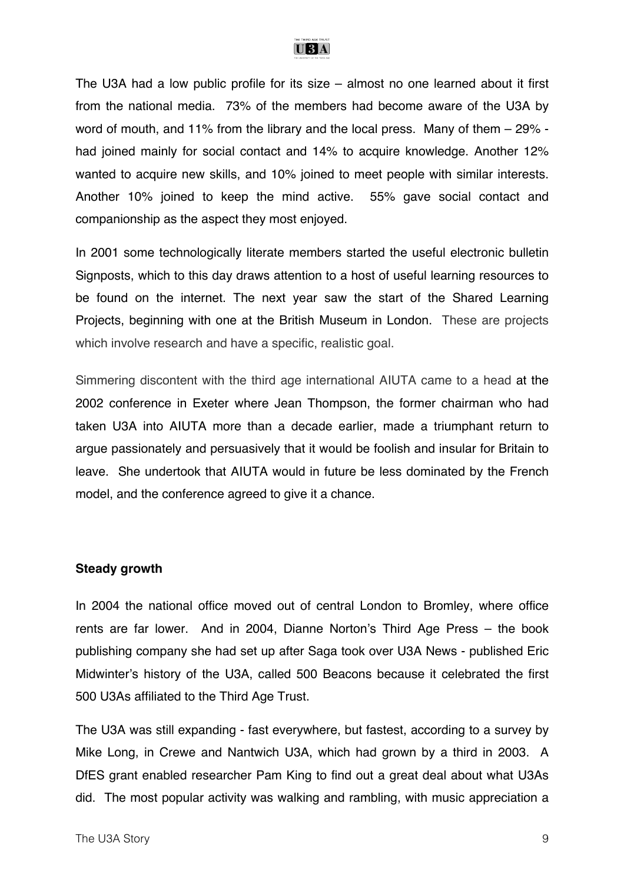

The U3A had a low public profile for its size – almost no one learned about it first from the national media. 73% of the members had become aware of the U3A by word of mouth, and 11% from the library and the local press. Many of them – 29% had joined mainly for social contact and 14% to acquire knowledge. Another 12% wanted to acquire new skills, and 10% joined to meet people with similar interests. Another 10% joined to keep the mind active. 55% gave social contact and companionship as the aspect they most enjoyed.

In 2001 some technologically literate members started the useful electronic bulletin Signposts, which to this day draws attention to a host of useful learning resources to be found on the internet. The next year saw the start of the Shared Learning Projects, beginning with one at the British Museum in London. These are projects which involve research and have a specific, realistic goal.

Simmering discontent with the third age international AIUTA came to a head at the 2002 conference in Exeter where Jean Thompson, the former chairman who had taken U3A into AIUTA more than a decade earlier, made a triumphant return to argue passionately and persuasively that it would be foolish and insular for Britain to leave. She undertook that AIUTA would in future be less dominated by the French model, and the conference agreed to give it a chance.

#### **Steady growth**

In 2004 the national office moved out of central London to Bromley, where office rents are far lower. And in 2004, Dianne Norton's Third Age Press – the book publishing company she had set up after Saga took over U3A News - published Eric Midwinter's history of the U3A, called 500 Beacons because it celebrated the first 500 U3As affiliated to the Third Age Trust.

The U3A was still expanding - fast everywhere, but fastest, according to a survey by Mike Long, in Crewe and Nantwich U3A, which had grown by a third in 2003. A DfES grant enabled researcher Pam King to find out a great deal about what U3As did. The most popular activity was walking and rambling, with music appreciation a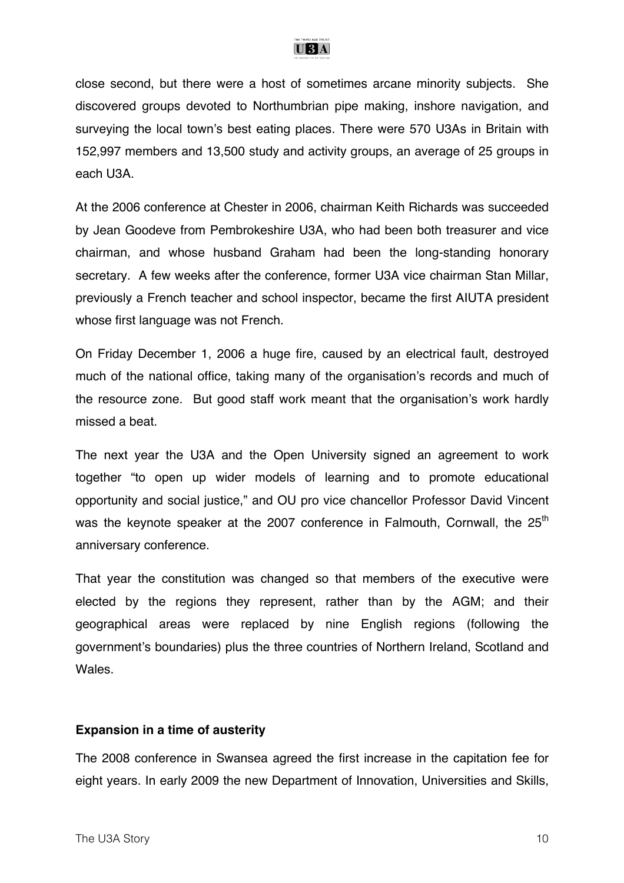

close second, but there were a host of sometimes arcane minority subjects. She discovered groups devoted to Northumbrian pipe making, inshore navigation, and surveying the local town's best eating places. There were 570 U3As in Britain with 152,997 members and 13,500 study and activity groups, an average of 25 groups in each U3A.

At the 2006 conference at Chester in 2006, chairman Keith Richards was succeeded by Jean Goodeve from Pembrokeshire U3A, who had been both treasurer and vice chairman, and whose husband Graham had been the long-standing honorary secretary. A few weeks after the conference, former U3A vice chairman Stan Millar, previously a French teacher and school inspector, became the first AIUTA president whose first language was not French.

On Friday December 1, 2006 a huge fire, caused by an electrical fault, destroyed much of the national office, taking many of the organisation's records and much of the resource zone. But good staff work meant that the organisation's work hardly missed a beat.

The next year the U3A and the Open University signed an agreement to work together "to open up wider models of learning and to promote educational opportunity and social justice," and OU pro vice chancellor Professor David Vincent was the keynote speaker at the 2007 conference in Falmouth, Cornwall, the 25<sup>th</sup> anniversary conference.

That year the constitution was changed so that members of the executive were elected by the regions they represent, rather than by the AGM; and their geographical areas were replaced by nine English regions (following the government's boundaries) plus the three countries of Northern Ireland, Scotland and Wales.

#### **Expansion in a time of austerity**

The 2008 conference in Swansea agreed the first increase in the capitation fee for eight years. In early 2009 the new Department of Innovation, Universities and Skills,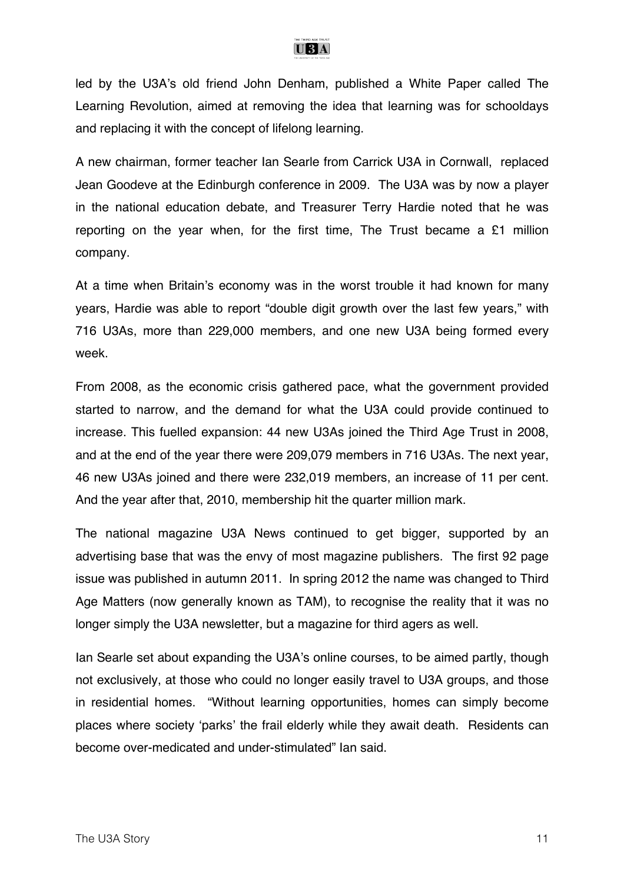

led by the U3A's old friend John Denham, published a White Paper called The Learning Revolution, aimed at removing the idea that learning was for schooldays and replacing it with the concept of lifelong learning.

A new chairman, former teacher Ian Searle from Carrick U3A in Cornwall, replaced Jean Goodeve at the Edinburgh conference in 2009. The U3A was by now a player in the national education debate, and Treasurer Terry Hardie noted that he was reporting on the year when, for the first time, The Trust became a £1 million company.

At a time when Britain's economy was in the worst trouble it had known for many years, Hardie was able to report "double digit growth over the last few years," with 716 U3As, more than 229,000 members, and one new U3A being formed every week.

From 2008, as the economic crisis gathered pace, what the government provided started to narrow, and the demand for what the U3A could provide continued to increase. This fuelled expansion: 44 new U3As joined the Third Age Trust in 2008, and at the end of the year there were 209,079 members in 716 U3As. The next year, 46 new U3As joined and there were 232,019 members, an increase of 11 per cent. And the year after that, 2010, membership hit the quarter million mark.

The national magazine U3A News continued to get bigger, supported by an advertising base that was the envy of most magazine publishers. The first 92 page issue was published in autumn 2011. In spring 2012 the name was changed to Third Age Matters (now generally known as TAM), to recognise the reality that it was no longer simply the U3A newsletter, but a magazine for third agers as well.

Ian Searle set about expanding the U3A's online courses, to be aimed partly, though not exclusively, at those who could no longer easily travel to U3A groups, and those in residential homes. "Without learning opportunities, homes can simply become places where society 'parks' the frail elderly while they await death. Residents can become over-medicated and under-stimulated" Ian said.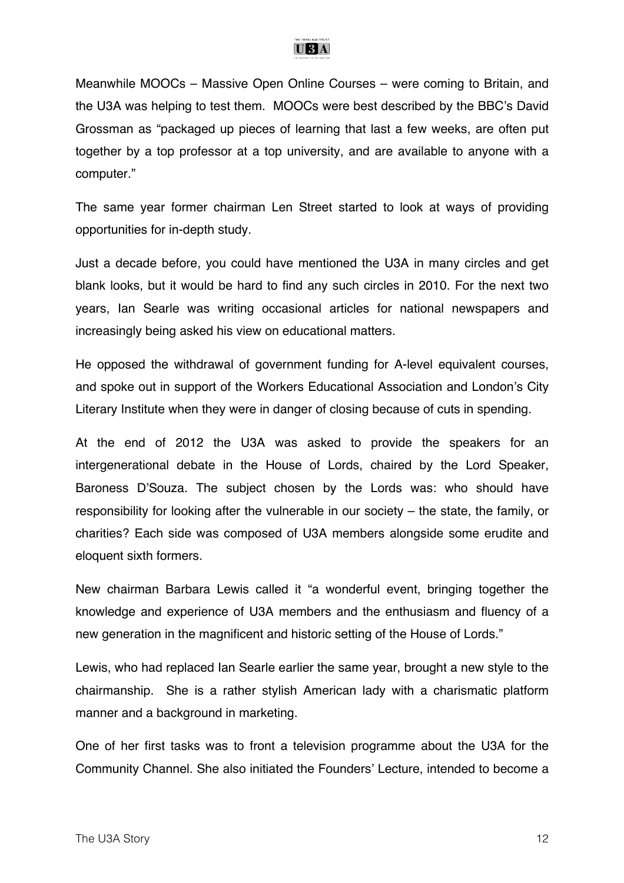

Meanwhile MOOCs – Massive Open Online Courses – were coming to Britain, and the U3A was helping to test them. MOOCs were best described by the BBC's David Grossman as "packaged up pieces of learning that last a few weeks, are often put together by a top professor at a top university, and are available to anyone with a computer."

The same year former chairman Len Street started to look at ways of providing opportunities for in-depth study.

Just a decade before, you could have mentioned the U3A in many circles and get blank looks, but it would be hard to find any such circles in 2010. For the next two years, Ian Searle was writing occasional articles for national newspapers and increasingly being asked his view on educational matters.

He opposed the withdrawal of government funding for A-level equivalent courses, and spoke out in support of the Workers Educational Association and London's City Literary Institute when they were in danger of closing because of cuts in spending.

At the end of 2012 the U3A was asked to provide the speakers for an intergenerational debate in the House of Lords, chaired by the Lord Speaker, Baroness D'Souza. The subject chosen by the Lords was: who should have responsibility for looking after the vulnerable in our society – the state, the family, or charities? Each side was composed of U3A members alongside some erudite and eloquent sixth formers.

New chairman Barbara Lewis called it "a wonderful event, bringing together the knowledge and experience of U3A members and the enthusiasm and fluency of a new generation in the magnificent and historic setting of the House of Lords."

Lewis, who had replaced Ian Searle earlier the same year, brought a new style to the chairmanship. She is a rather stylish American lady with a charismatic platform manner and a background in marketing.

One of her first tasks was to front a television programme about the U3A for the Community Channel. She also initiated the Founders' Lecture, intended to become a